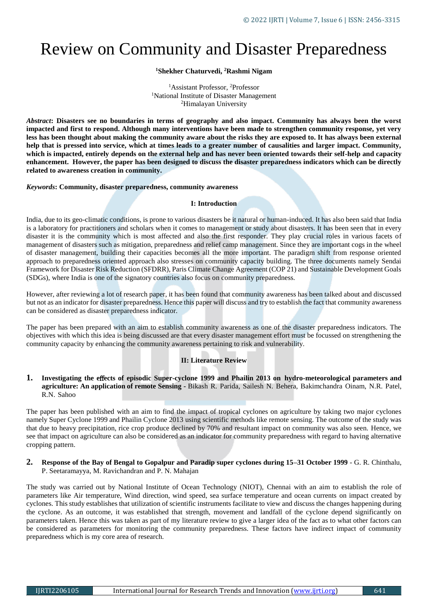# Review on Community and Disaster Preparedness

## **<sup>1</sup>Shekher Chaturvedi, <sup>2</sup>Rashmi Nigam**

<sup>1</sup>Assistant Professor, <sup>2</sup>Professor <sup>1</sup>National Institute of Disaster Management <sup>2</sup>Himalayan University

*Abstract***: Disasters see no boundaries in terms of geography and also impact. Community has always been the worst impacted and first to respond. Although many interventions have been made to strengthen community response, yet very less has been thought about making the community aware about the risks they are exposed to. It has always been external help that is pressed into service, which at times leads to a greater number of causalities and larger impact. Community, which is impacted, entirely depends on the external help and has never been oriented towards their self-help and capacity enhancement. However, the paper has been designed to discuss the disaster preparedness indicators which can be directly related to awareness creation in community.** 

#### *Keywords***: Community, disaster preparedness, community awareness**

#### **I: Introduction**

India, due to its geo-climatic conditions, is prone to various disasters be it natural or human-induced. It has also been said that India is a laboratory for practitioners and scholars when it comes to management or study about disasters. It has been seen that in every disaster it is the community which is most affected and also the first responder. They play crucial roles in various facets of management of disasters such as mitigation, preparedness and relief camp management. Since they are important cogs in the wheel of disaster management, building their capacities becomes all the more important. The paradigm shift from response oriented approach to preparedness oriented approach also stresses on community capacity building. The three documents namely Sendai Framework for Disaster Risk Reduction (SFDRR), Paris Climate Change Agreement (COP 21) and Sustainable Development Goals (SDGs), where India is one of the signatory countries also focus on community preparedness.

However, after reviewing a lot of research paper, it has been found that community awareness has been talked about and discussed but not as an indicator for disaster preparedness. Hence this paper will discuss and try to establish the fact that community awareness can be considered as disaster preparedness indicator.

The paper has been prepared with an aim to establish community awareness as one of the disaster preparedness indicators. The objectives with which this idea is being discussed are that every disaster management effort must be focussed on strengthening the community capacity by enhancing the community awareness pertaining to risk and vulnerability.

## **II: Literature Review**

**1. Investigating the e**ff**ects of episodic Super-cyclone 1999 and Phailin 2013 on hydro-meteorological parameters and agriculture: An application of remote Sensing -** Bikash R. Parida, Sailesh N. Behera, Bakimchandra Oinam, N.R. Patel, R.N. Sahoo

The paper has been published with an aim to find the impact of tropical cyclones on agriculture by taking two major cyclones namely Super Cyclone 1999 and Phailin Cyclone 2013 using scientific methods like remote sensing. The outcome of the study was that due to heavy precipitation, rice crop produce declined by 70% and resultant impact on community was also seen. Hence, we see that impact on agriculture can also be considered as an indicator for community preparedness with regard to having alternative cropping pattern.

#### **2. Response of the Bay of Bengal to Gopalpur and Paradip super cyclones during 15–31 October 1999** - G. R. Chinthalu, P. Seetaramayya, M. Ravichandran and P. N. Mahajan

The study was carried out by National Institute of Ocean Technology (NIOT), Chennai with an aim to establish the role of parameters like Air temperature, Wind direction, wind speed, sea surface temperature and ocean currents on impact created by cyclones. This study establishes that utilization of scientific instruments facilitate to view and discuss the changes happening during the cyclone. As an outcome, it was established that strength, movement and landfall of the cyclone depend significantly on parameters taken. Hence this was taken as part of my literature review to give a larger idea of the fact as to what other factors can be considered as parameters for monitoring the community preparedness. These factors have indirect impact of community preparedness which is my core area of research.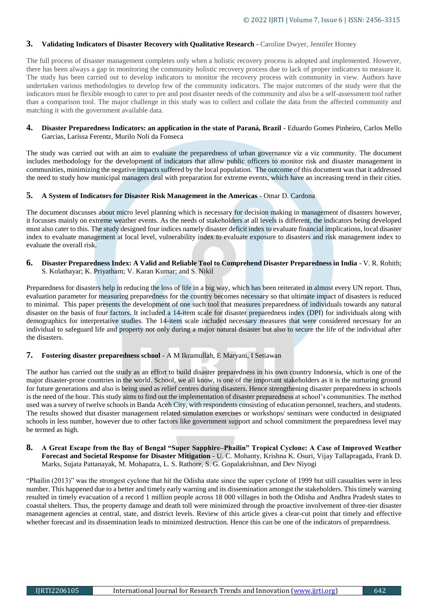## **3. Validating Indicators of Disaster Recovery with Qualitative Research** - Caroline Dwyer, Jennifer Horney

The full process of disaster management completes only when a holistic recovery process is adopted and implemented. However, there has been always a gap in monitoring the community holistic recovery process due to lack of proper indicators to measure it. The study has been carried out to develop indicators to monitor the recovery process with community in view. Authors have undertaken various methodologies to develop few of the community indicators. The major outcomes of the study were that the indicators must be flexible enough to cater to pre and post disaster needs of the community and also be a self-assessment tool rather than a comparison tool. The major challenge in this study was to collect and collate the data from the affected community and matching it with the government available data.

#### **4. Disaster Preparedness Indicators: an application in the state of Paraná, Brazil** - Eduardo Gomes Pinheiro, Carlos Mello Garcias, Larissa Ferentz, Murilo Noli da Fonseca

The study was carried out with an aim to evaluate the preparedness of urban governance viz a viz community. The document includes methodology for the development of indicators that allow public officers to monitor risk and disaster management in communities, minimizing the negative impacts suffered by the local population. The outcome of this document was that it addressed the need to study how municipal managers deal with preparation for extreme events, which have an increasing trend in their cities.

## **5. A System of Indicators for Disaster Risk Management in the Americas** - Omar D. Cardona

The document discusses about micro level planning which is necessary for decision making in management of disasters however, it focusses mainly on extreme weather events. As the needs of stakeholders at all levels is different, the indicators being developed must also cater to this. The study designed four indices namely disaster deficit index to evaluate financial implications, local disaster index to evaluate management at local level, vulnerability index to evaluate exposure to disasters and risk management index to evaluate the overall risk.

#### **6. Disaster Preparedness Index: A Valid and Reliable Tool to Comprehend Disaster Preparedness in India** - V. R. Rohith; S. Kolathayar; K. Priyatham; V. Karan Kumar; and S. Nikil

Preparedness for disasters help in reducing the loss of life in a big way, which has been reiterated in almost every UN report. Thus, evaluation parameter for measuring preparedness for the country becomes necessary so that ultimate impact of disasters is reduced to minimal. This paper presents the development of one such tool that measures preparedness of individuals towards any natural disaster on the basis of four factors. It included a 14-item scale for disaster preparedness index (DPI) for individuals along with demographics for interpretative studies. The 14-item scale included necessary measures that were considered necessary for an individual to safeguard life and property not only during a major natural disaster but also to secure the life of the individual after the disasters.

## **7. Fostering disaster preparedness school** - A M Ikramullah, E Maryani, I Setiawan

The author has carried out the study as an effort to build disaster preparedness in his own country Indonesia, which is one of the major disaster-prone countries in the world. School, we all know, is one of the important stakeholders as it is the nurturing ground for future generations and also is being used as relief centres during disasters. Hence strengthening disaster preparedness in schools is the need of the hour. This study aims to find out the implementation of disaster preparedness at school's communities. The method used was a survey of twelve schools in Banda Aceh City, with respondents consisting of education personnel, teachers, and students. The results showed that disaster management related simulation exercises or workshops/ seminars were conducted in designated schools in less number, however due to other factors like government support and school commitment the preparedness level may be termed as high.

#### **8. A Great Escape from the Bay of Bengal "Super Sapphire–Phailin" Tropical Cyclone: A Case of Improved Weather Forecast and Societal Response for Disaster Mitigation** - [U. C. Mohanty](https://journals.ametsoc.org/author/Mohanty%2C+U+C)*,* [Krishna K. Osuri](https://journals.ametsoc.org/author/Osuri%2C+Krishna+K)*,* [Vijay Tallapragada](https://journals.ametsoc.org/author/Tallapragada%2C+Vijay)*,* [Frank D.](https://journals.ametsoc.org/author/Marks%2C+Frank+D)  [Marks](https://journals.ametsoc.org/author/Marks%2C+Frank+D)*,* [Sujata Pattanayak](https://journals.ametsoc.org/author/Pattanayak%2C+Sujata)*,* [M. Mohapatra](https://journals.ametsoc.org/author/Mohapatra%2C+M)*,* [L. S. Rathore](https://journals.ametsoc.org/author/Rathore%2C+L+S)*,* [S. G. Gopalakrishnan](https://journals.ametsoc.org/author/Gopalakrishnan%2C+S+G)*,* and [Dev Niyogi](https://journals.ametsoc.org/author/Niyogi%2C+Dev)

"Phailin (2013)" was the strongest cyclone that hit the Odisha state since the super cyclone of 1999 but still casualties were in less number. This happened due to a better and timely early warning and its dissemination amongst the stakeholders. This timely warning resulted in timely evacuation of a record 1 million people across 18 000 villages in both the Odisha and Andhra Pradesh states to coastal shelters. Thus, the property damage and death toll were minimized through the proactive involvement of three-tier disaster management agencies at central, state, and district levels. Review of this article gives a clear-cut point that timely and effective whether forecast and its dissemination leads to minimized destruction. Hence this can be one of the indicators of preparedness.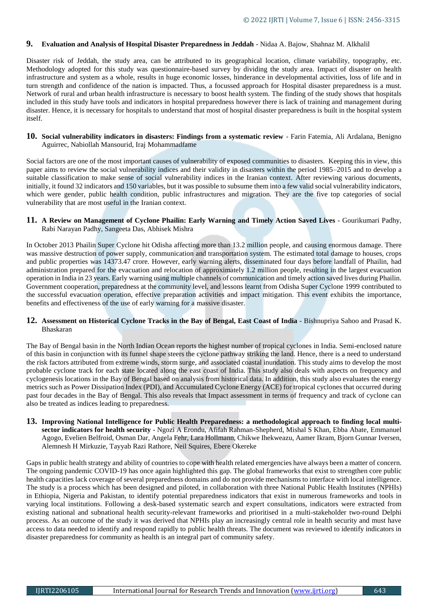## **9. Evaluation and Analysis of Hospital Disaster Preparedness in Jeddah** - Nidaa A. Bajow, Shahnaz M. Alkhalil

Disaster risk of Jeddah, the study area, can be attributed to its geographical location, climate variability, topography, etc. Methodology adopted for this study was questionnaire-based survey by dividing the study area. Impact of disaster on health infrastructure and system as a whole, results in huge economic losses, hinderance in developmental activities, loss of life and in turn strength and confidence of the nation is impacted. Thus, a focussed approach for Hospital disaster preparedness is a must. Network of rural and urban health infrastructure is necessary to boost health system. The finding of the study shows that hospitals included in this study have tools and indicators in hospital preparedness however there is lack of training and management during disaster. Hence, it is necessary for hospitals to understand that most of hospital disaster preparedness is built in the hospital system itself.

**10. Social vulnerability indicators in disasters: Findings from a systematic review** - Farin Fatemia, Ali Ardalana, Benigno Aguirrec, Nabiollah Mansourid, Iraj Mohammadfame

Social factors are one of the most important causes of vulnerability of exposed communities to disasters. Keeping this in view, this paper aims to review the social vulnerability indices and their validity in disasters within the period 1985–2015 and to develop a suitable classification to make sense of social vulnerability indices in the Iranian context. After reviewing various documents, initially, it found 32 indicators and 150 variables, but it was possible to subsume them into a few valid social vulnerability indicators, which were gender, public health condition, public infrastructures and migration. They are the five top categories of social vulnerability that are most useful in the Iranian context.

#### **11. A Review on Management of Cyclone Phailin: Early Warning and Timely Action Saved Lives** - Gourikumari Padhy, Rabi Narayan Padhy, Sangeeta Das, Abhisek Mishra

In October 2013 Phailin Super Cyclone hit Odisha affecting more than 13.2 million people, and causing enormous damage. There was massive destruction of power supply, communication and transportation system. The estimated total damage to houses, crops and public properties was 14373.47 crore. However, early warning alerts, disseminated four days before landfall of Phailin, had administration prepared for the evacuation and relocation of approximately 1.2 million people, resulting in the largest evacuation operation in India in 23 years. Early warning using multiple channels of communication and timely action saved lives during Phailin. Government cooperation, preparedness at the community level, and lessons learnt from Odisha Super Cyclone 1999 contributed to the successful evacuation operation, effective preparation activities and impact mitigation. This event exhibits the importance, benefits and effectiveness of the use of early warning for a massive disaster.

## **12. Assessment on Historical Cyclone Tracks in the Bay of Bengal, East Coast of India** - Bishnupriya Sahoo and Prasad K. Bhaskaran

The Bay of Bengal basin in the North Indian Ocean reports the highest number of tropical cyclones in India. Semi-enclosed nature of this basin in conjunction with its funnel shape steers the cyclone pathway striking the land. Hence, there is a need to understand the risk factors attributed from extreme winds, storm surge, and associated coastal inundation. This study aims to develop the most probable cyclone track for each state located along the east coast of India. This study also deals with aspects on frequency and cyclogenesis locations in the Bay of Bengal based on analysis from historical data. In addition, this study also evaluates the energy metrics such as Power Dissipation Index (PDI), and Accumulated Cyclone Energy (ACE) for tropical cyclones that occurred during past four decades in the Bay of Bengal. This also reveals that Impact assessment in terms of frequency and track of cyclone can also be treated as indices leading to preparedness.

**13. Improving National Intelligence for Public Health Preparedness: a methodological approach to finding local multisector indicators for health security** - Ngozi A Erondu, Afifah Rahman-Shepherd, Mishal S Khan, Ebba Abate, Emmanuel Agogo, Evelien Belfroid, Osman Dar, Angela Fehr, Lara Hollmann, Chikwe Ihekweazu, Aamer Ikram, Bjorn Gunnar Iversen, Alemnesh H Mirkuzie, Tayyab Razi Rathore, Neil Squires, Ebere Okereke

Gaps in public health strategy and ability of countries to cope with health related emergencies have always been a matter of concern. The ongoing pandemic COVID-19 has once again highlighted this gap. The global frameworks that exist to strengthen core public health capacities lack coverage of several preparedness domains and do not provide mechanisms to interface with local intelligence. The study is a process which has been designed and piloted, in collaboration with three National Public Health Institutes (NPHIs) in Ethiopia, Nigeria and Pakistan, to identify potential preparedness indicators that exist in numerous frameworks and tools in varying local institutions. Following a desk-based systematic search and expert consultations, indicators were extracted from existing national and subnational health security-relevant frameworks and prioritised in a multi-stakeholder two-round Delphi process. As an outcome of the study it was derived that NPHIs play an increasingly central role in health security and must have access to data needed to identify and respond rapidly to public health threats. The document was reviewed to identify indicators in disaster preparedness for community as health is an integral part of community safety.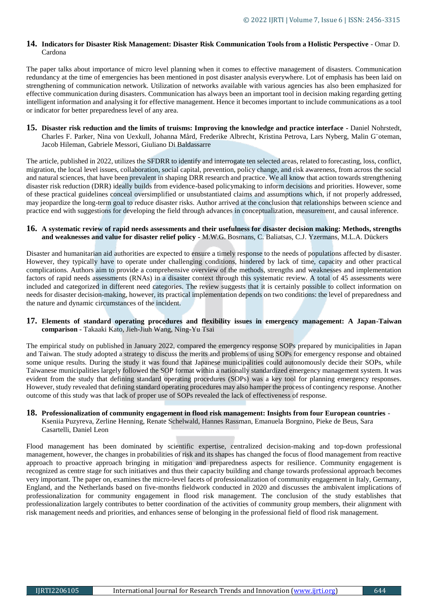## **14. Indicators for Disaster Risk Management: Disaster Risk Communication Tools from a Holistic Perspective** - Omar D. Cardona

The paper talks about importance of micro level planning when it comes to effective management of disasters. Communication redundancy at the time of emergencies has been mentioned in post disaster analysis everywhere. Lot of emphasis has been laid on strengthening of communication network. Utilization of networks available with various agencies has also been emphasized for effective communication during disasters. Communication has always been an important tool in decision making regarding getting intelligent information and analysing it for effective management. Hence it becomes important to include communications as a tool or indicator for better preparedness level of any area.

**15. Disaster risk reduction and the limits of truisms: Improving the knowledge and practice interface -** Daniel Nohrstedt, Charles F. Parker, Nina von Uexkull, Johanna Mård, Frederike Albrecht, Kristina Petrova, Lars Nyberg, Malin G¨oteman, Jacob Hileman, Gabriele Messori, Giuliano Di Baldassarre

The article, published in 2022, utilizes the SFDRR to identify and interrogate ten selected areas, related to forecasting, loss, conflict, migration, the local level issues, collaboration, social capital, prevention, policy change, and risk awareness, from across the social and natural sciences, that have been prevalent in shaping DRR research and practice. We all know that action towards strengthening disaster risk reduction (DRR) ideally builds from evidence-based policymaking to inform decisions and priorities. However, some of these practical guidelines conceal oversimplified or unsubstantiated claims and assumptions which, if not properly addressed, may jeopardize the long-term goal to reduce disaster risks. Author arrived at the conclusion that relationships between science and practice end with suggestions for developing the field through advances in conceptualization, measurement, and causal inference.

## **16. A systematic review of rapid needs assessments and their usefulness for disaster decision making: Methods, strengths and weaknesses and value for disaster relief policy -** M.W.G. Bosmans, C. Baliatsas, C.J. Yzermans, M.L.A. Dückers

Disaster and humanitarian aid authorities are expected to ensure a timely response to the needs of populations affected by disaster. However, they typically have to operate under challenging conditions, hindered by lack of time, capacity and other practical complications. Authors aim to provide a comprehensive overview of the methods, strengths and weaknesses and implementation factors of rapid needs assessments (RNAs) in a disaster context through this systematic review. A total of 45 assessments were included and categorized in different need categories. The review suggests that it is certainly possible to collect information on needs for disaster decision-making, however, its practical implementation depends on two conditions: the level of preparedness and the nature and dynamic circumstances of the incident.

## **17. Elements of standard operating procedures and flexibility issues in emergency management: A Japan-Taiwan comparison** - Takaaki Kato, Jieh-Jiuh Wang, Ning-Yu Tsai

The empirical study on published in January 2022, compared the emergency response SOPs prepared by municipalities in Japan and Taiwan. The study adopted a strategy to discuss the merits and problems of using SOPs for emergency response and obtained some unique results. During the study it was found that Japanese municipalities could autonomously decide their SOPs, while Taiwanese municipalities largely followed the SOP format within a nationally standardized emergency management system. It was evident from the study that defining standard operating procedures (SOPs) was a key tool for planning emergency responses. However, study revealed that defining standard operating procedures may also hamper the process of contingency response. Another outcome of this study was that lack of proper use of SOPs revealed the lack of effectiveness of response.

#### **18. Professionalization of community engagement in flood risk management: Insights from four European countries** - Kseniia Puzyreva, Zerline Henning, Renate Schelwald, Hannes Rassman, Emanuela Borgnino, Pieke de Beus, Sara Casartelli, Daniel Leon

Flood management has been dominated by scientific expertise, centralized decision-making and top-down professional management, however, the changes in probabilities of risk and its shapes has changed the focus of flood management from reactive approach to proactive approach bringing in mitigation and preparedness aspects for resilience. Community engagement is recognized as centre stage for such initiatives and thus their capacity building and change towards professional approach becomes very important. The paper on, examines the micro-level facets of professionalization of community engagement in Italy, Germany, England, and the Netherlands based on five-months fieldwork conducted in 2020 and discusses the ambivalent implications of professionalization for community engagement in flood risk management. The conclusion of the study establishes that professionalization largely contributes to better coordination of the activities of community group members, their alignment with risk management needs and priorities, and enhances sense of belonging in the professional field of flood risk management.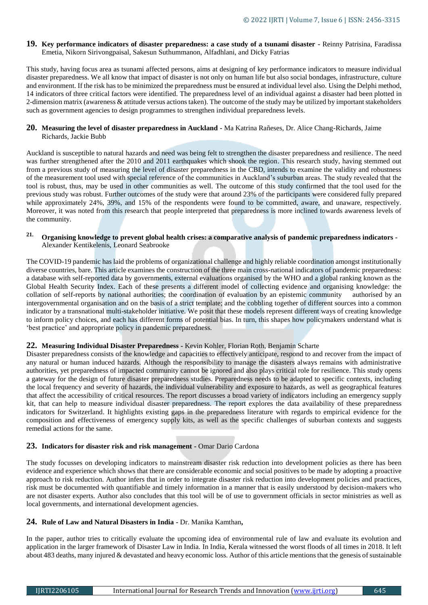**19. Key performance indicators of disaster preparedness: a case study of a tsunami disaster -** Reinny Patrisina, Faradissa Emetia, Nikorn Sirivongpaisal, Sakesun Suthummanon, Alfadhlani, and Dicky Fatrias

This study, having focus area as tsunami affected persons, aims at designing of key performance indicators to measure individual disaster preparedness. We all know that impact of disaster is not only on human life but also social bondages, infrastructure, culture and environment. If the risk has to be minimized the preparedness must be ensured at individual level also. Using the Delphi method, 14 indicators of three critical factors were identified. The preparedness level of an individual against a disaster had been plotted in 2-dimension matrix (awareness & attitude versus actions taken). The outcome of the study may be utilized by important stakeholders such as government agencies to design programmes to strengthen individual preparedness levels.

#### **20. Measuring the level of disaster preparedness in Auckland -** Ma Katrina Rañeses, Dr. Alice Chang-Richards, Jaime Richards, Jackie Bubb

Auckland is susceptible to natural hazards and need was being felt to strengthen the disaster preparedness and resilience. The need was further strengthened after the 2010 and 2011 earthquakes which shook the region. This research study, having stemmed out from a previous study of measuring the level of disaster preparedness in the CBD, intends to examine the validity and robustness of the measurement tool used with special reference of the communities in Auckland's suburban areas. The study revealed that the tool is robust, thus, may be used in other communities as well. The outcome of this study confirmed that the tool used for the previous study was robust. Further outcomes of the study were that around 23% of the participants were considered fully prepared while approximately 24%, 39%, and 15% of the respondents were found to be committed, aware, and unaware, respectively. Moreover, it was noted from this research that people interpreted that preparedness is more inclined towards awareness levels of the community.

## **21. Organising knowledge to prevent global health crises: a comparative analysis of pandemic preparedness indicators -** Alexander Kentikelenis, Leonard Seabrooke

The COVID-19 pandemic has laid the problems of organizational challenge and highly reliable coordination amongst institutionally diverse countries, bare. This article examines the construction of the three main cross-national indicators of pandemic preparedness: a database with self-reported data by governments, external evaluations organised by the WHO and a global ranking known as the Global Health Security Index. Each of these presents a different model of collecting evidence and organising knowledge: the collation of self-reports by national authorities; the coordination of evaluation by an epistemic community authorised by an intergovernmental organisation and on the basis of a strict template; and the cobbling together of different sources into a common indicator by a transnational multi-stakeholder initiative. We posit that these models represent different ways of creating knowledge to inform policy choices, and each has different forms of potential bias. In turn, this shapes how policymakers understand what is 'best practice' and appropriate policy in pandemic preparedness.

## **22. Measuring Individual Disaster Preparedness -** Kevin Kohler, Florian Roth, Benjamin Scharte

Disaster preparedness consists of the knowledge and capacities to effectively anticipate, respond to and recover from the impact of any natural or human induced hazards. Although the responsibility to manage the disasters always remains with administrative authorities, yet preparedness of impacted community cannot be ignored and also plays critical role for resilience. This study opens a gateway for the design of future disaster preparedness studies. Preparedness needs to be adapted to specific contexts, including the local frequency and severity of hazards, the individual vulnerability and exposure to hazards, as well as geographical features that affect the accessibility of critical resources. The report discusses a broad variety of indicators including an emergency supply kit, that can help to measure individual disaster preparedness. The report explores the data availability of these preparedness indicators for Switzerland. It highlights existing gaps in the preparedness literature with regards to empirical evidence for the composition and effectiveness of emergency supply kits, as well as the specific challenges of suburban contexts and suggests remedial actions for the same.

## **23. Indicators for disaster risk and risk management -** Omar Dario Cardona

The study focusses on developing indicators to mainstream disaster risk reduction into development policies as there has been evidence and experience which shows that there are considerable economic and social positives to be made by adopting a proactive approach to risk reduction. Author infers that in order to integrate disaster risk reduction into development policies and practices, risk must be documented with quantifiable and timely information in a manner that is easily understood by decision-makers who are not disaster experts. Author also concludes that this tool will be of use to government officials in sector ministries as well as local governments, and international development agencies.

## **24. Rule of Law and Natural Disasters in India -** Dr. Manika Kamthan**,**

In the paper, author tries to critically evaluate the upcoming idea of environmental rule of law and evaluate its evolution and application in the larger framework of Disaster Law in India. In India, Kerala witnessed the worst floods of all times in 2018. It left about 483 deaths, many injured & devastated and heavy economic loss. Author of this article mentions that the genesis of sustainable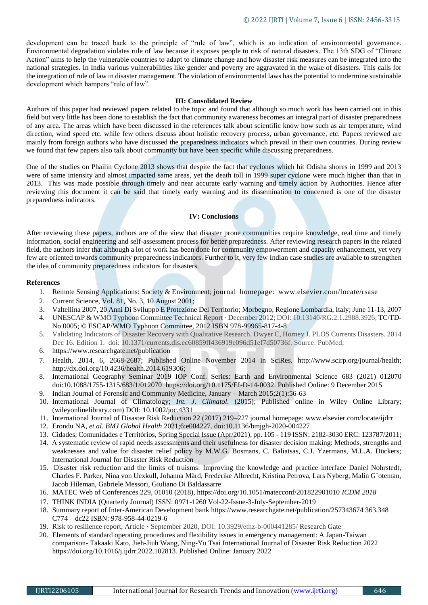development can be traced back to the principle of "rule of law", which is an indication of environmental governance. Environmental degradation violates rule of law because it exposes people to risk of natural disasters. The 13th SDG of "Climate Action" aims to help the vulnerable countries to adapt to climate change and how disaster risk measures can be integrated into the national strategies. In India various vulnerabilities like gender and poverty are aggravated in the wake of disasters. This calls for the integration of rule of law in disaster management. The violation of environmental laws has the potential to undermine sustainable development which hampers "rule of law".

#### **III: Consolidated Review**

Authors of this paper had reviewed papers related to the topic and found that although so much work has been carried out in this field but very little has been done to establish the fact that community awareness becomes an integral part of disaster preparedness of any area. The areas which have been discussed in the references talk about scientific know how such as air temperature, wind direction, wind speed etc. while few others discuss about holistic recovery process, urban governance, etc. Papers reviewed are mainly from foreign authors who have discussed the preparedness indicators which prevail in their own countries. During review we found that few papers also talk about community but have been specific while discussing preparedness.

One of the studies on Phailin Cyclone 2013 shows that despite the fact that cyclones which hit Odisha shores in 1999 and 2013 were of same intensity and almost impacted same areas, yet the death toll in 1999 super cyclone were much higher than that in 2013. This was made possible through timely and near accurate early warning and timely action by Authorities. Hence after reviewing this document it can be said that timely early warning and its dissemination to concerned is one of the disaster preparedness indicators.

#### **IV: Conclusions**

After reviewing these papers, authors are of the view that disaster prone communities require knowledge, real time and timely information, social engineering and self-assessment process for better preparedness. After reviewing research papers in the related field, the authors infer that although a lot of work has been done for community empowerment and capacity enhancement, yet very few are oriented towards community preparedness indicators. Further to it, very few Indian case studies are available to strengthen the idea of community preparedness indicators for disasters.

#### **References**

- 1. Remote Sensing Applications: Society & Environment; journal homepage: www.elsevier.com/locate/rsase
- 2. Current Science, Vol. 81, No. 3, 10 August 2001;
- 3. Valtellina 2007, 20 Anni Di Sviluppo E Protezione Del Territorio; Morbegno, Regione Lombardia, Italy; June 11-13, 2007
- 4. UNESCAP & WMO Typhoon Committee Technical Report · December 2012; DOI: 10.13140/RG.2.1.2988.3926; TC/TD-No 0005; © ESCAP/WMO Typhoon Committee, 2012 ISBN 978-99965-817-4-8
- 5. Validating Indicators of Disaster Recovery with Qualitative Research. Dwyer C, Horney J. PLOS Currents Disasters. 2014 Dec 16. Edition 1. doi: 10.1371/currents.dis.ec60859ff436919e096d51ef7d50736f. Source: PubMed;
- 6. https://www.researchgate.net/publication
- 7. Health, 2014, 6, 2668-2687; Published Online November 2014 in SciRes. http://www.scirp.org/journal/health; http://dx.doi.org/10.4236/health.2014.619306;
- 8. International Geography Seminar 2019 IOP Conf. Series: Earth and Environmental Science 683 (2021) 012070 doi:10.1088/1755-1315/683/1/012070 https://doi.org/10.1175/EI-D-14-0032. Published Online: 9 December 2015
- 9. Indian Journal of Forensic and Community Medicine, January March 2015;2(1):56-63
- 10. International Journal of Climatology; *Int. J. Climatol.* (2015); Published online in Wiley Online Library; (wileyonlinelibrary.com) DOI: 10.1002/joc.4331
- 11. International Journal of Disaster Risk Reduction 22 (2017) 219–227 journal homepage: www.elsevier.com/locate/ijdrr
- 12. Erondu NA, *et al*. *BMJ Global Health* 2021;6:e004227. doi:10.1136/bmjgh-2020-004227
- 13. Cidades, Comunidades e Territórios, Spring Special Issue (Apr/2021), pp. 105 119 ISSN: 2182-3030 ERC: 123787/2011;
- 14. A systematic review of rapid needs assessments and their usefulness for disaster decision making: Methods, strengths and weaknesses and value for disaster relief policy by M.W.G. Bosmans, C. Baliatsas, C.J. Yzermans, M.L.A. Dückers; International Journal for Disaster Risk Reduction
- 15. Disaster risk reduction and the limits of truisms: Improving the knowledge and practice interface Daniel Nohrstedt, Charles F. Parker, Nina von Uexkull, Johanna Mård, Frederike Albrecht, Kristina Petrova, Lars Nyberg, Malin G¨oteman, Jacob Hileman, Gabriele Messori, Giuliano Di Baldassarre
- 16. MATEC Web of Conferences 229, 01010 (2018), https://doi.org/10.1051/matecconf/201822901010 *ICDM 2018*
- 17. THINK INDIA (Quarterly Journal) ISSN: 0971-1260 Vol-22-Issue-3-July-September-2019
- 18. Summary report of Inter-American Development bank https://www.researchgate.net/publication/257343674 363.348 C774—dc22 ISBN: 978-958-44-0219-6
- 19. Risk to resilience report, Article · September 2020, DOI: 10.3929/ethz-b-000441285/ Research Gate
- 20. Elements of standard operating procedures and flexibility issues in emergency management: A Japan-Taiwan comparison- Takaaki Kato, Jieh-Jiuh Wang, Ning-Yu Tsai International Journal of Disaster Risk Reduction 2022 https://doi.org/10.1016/j.ijdrr.2022.102813. Published Online: January 2022